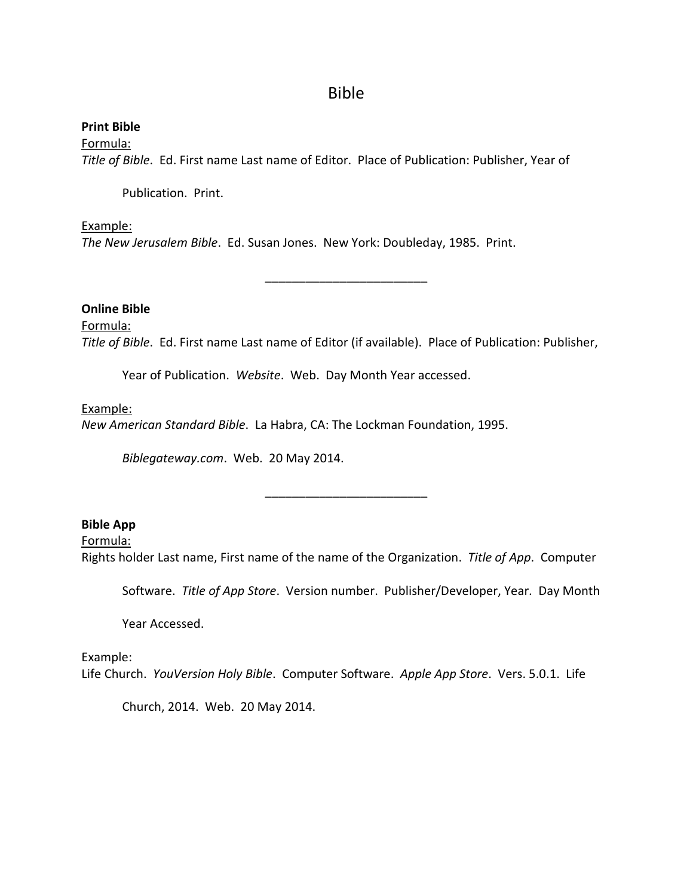# Bible

**Print Bible** Formula: *Title of Bible*. Ed. First name Last name of Editor. Place of Publication: Publisher, Year of

Publication. Print.

# Example:

*The New Jerusalem Bible*. Ed. Susan Jones. New York: Doubleday, 1985. Print.

# **Online Bible**

Formula: *Title of Bible*. Ed. First name Last name of Editor (if available). Place of Publication: Publisher,

\_\_\_\_\_\_\_\_\_\_\_\_\_\_\_\_\_\_\_\_\_\_\_\_

Year of Publication. *Website*. Web. Day Month Year accessed.

#### Example:

*New American Standard Bible*. La Habra, CA: The Lockman Foundation, 1995.

*Biblegateway.com*. Web. 20 May 2014.

# **Bible App**

Formula: Rights holder Last name, First name of the name of the Organization. *Title of App*. Computer

\_\_\_\_\_\_\_\_\_\_\_\_\_\_\_\_\_\_\_\_\_\_\_\_

Software. *Title of App Store*. Version number. Publisher/Developer, Year. Day Month

Year Accessed.

# Example:

Life Church. *YouVersion Holy Bible*. Computer Software. *Apple App Store*. Vers. 5.0.1. Life

Church, 2014. Web. 20 May 2014.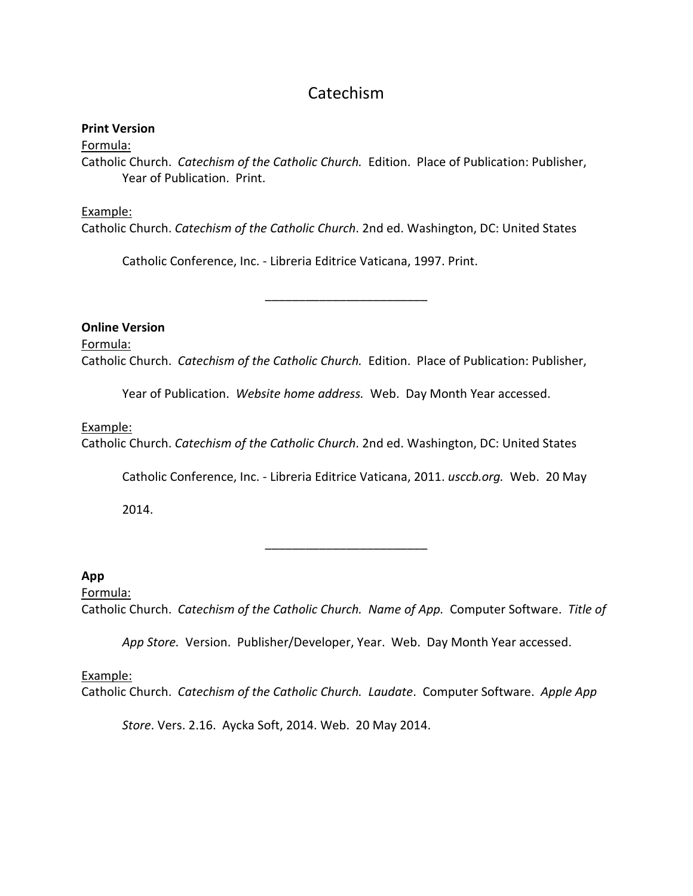# Catechism

#### **Print Version**

Formula:

Catholic Church. *Catechism of the Catholic Church.* Edition. Place of Publication: Publisher, Year of Publication. Print.

#### Example:

Catholic Church. *Catechism of the Catholic Church*. 2nd ed. Washington, DC: United States

Catholic Conference, Inc. - Libreria Editrice Vaticana, 1997. Print.

**Online Version**

#### Formula:

Catholic Church. *Catechism of the Catholic Church.* Edition. Place of Publication: Publisher,

\_\_\_\_\_\_\_\_\_\_\_\_\_\_\_\_\_\_\_\_\_\_\_\_

Year of Publication. *Website home address.* Web. Day Month Year accessed.

#### Example:

Catholic Church. *Catechism of the Catholic Church*. 2nd ed. Washington, DC: United States

Catholic Conference, Inc. - Libreria Editrice Vaticana, 2011. *usccb.org.* Web. 20 May

2014.

# **App**

# Formula:

Catholic Church. *Catechism of the Catholic Church. Name of App.* Computer Software. *Title of* 

\_\_\_\_\_\_\_\_\_\_\_\_\_\_\_\_\_\_\_\_\_\_\_\_

*App Store.* Version. Publisher/Developer, Year. Web. Day Month Year accessed.

#### Example:

Catholic Church. *Catechism of the Catholic Church. Laudate*. Computer Software. *Apple App* 

*Store*. Vers. 2.16. Aycka Soft, 2014. Web. 20 May 2014.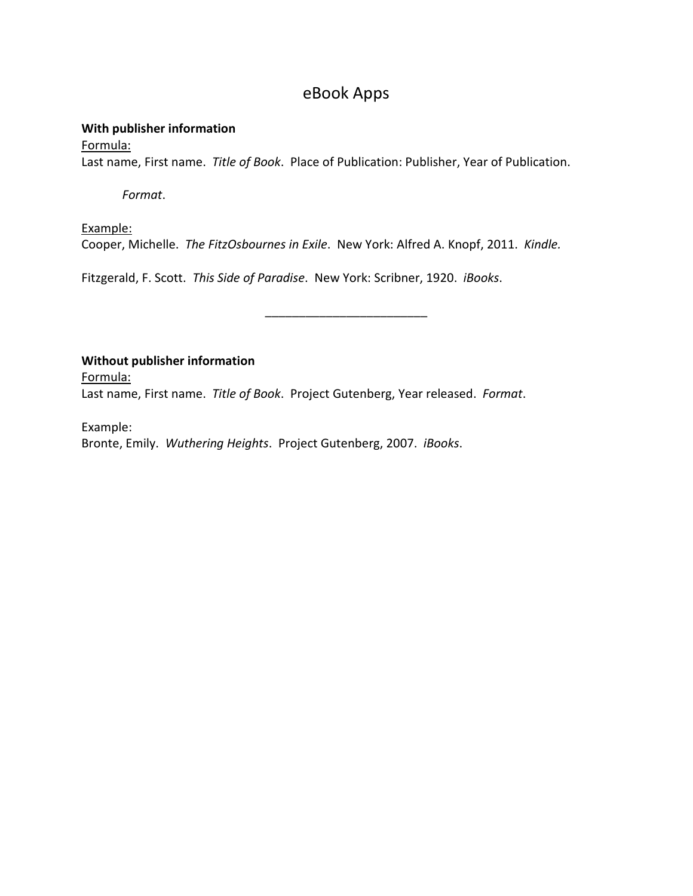# eBook Apps

# **With publisher information**

# Formula:

Last name, First name. *Title of Book*. Place of Publication: Publisher, Year of Publication.

*Format*.

Example: Cooper, Michelle. *The FitzOsbournes in Exile*. New York: Alfred A. Knopf, 2011. *Kindle.*

\_\_\_\_\_\_\_\_\_\_\_\_\_\_\_\_\_\_\_\_\_\_\_\_

Fitzgerald, F. Scott. *This Side of Paradise*. New York: Scribner, 1920. *iBooks*.

**Without publisher information**

Formula:

Last name, First name. *Title of Book*. Project Gutenberg, Year released. *Format*.

Example:

Bronte, Emily. *Wuthering Heights*. Project Gutenberg, 2007. *iBooks*.